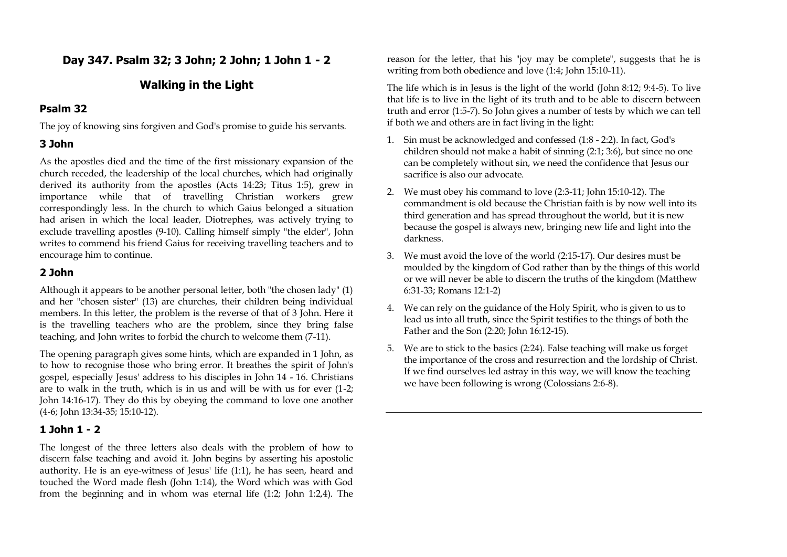# **Day 347. Psalm 32; 3 John; 2 John; 1 John 1 - 2**

# **Walking in the Light**

### **Psalm 32**

The joy of knowing sins forgiven and God's promise to guide his servants.

## **3 John**

As the apostles died and the time of the first missionary expansion of the church receded, the leadership of the local churches, which had originally derived its authority from the apostles (Acts 14:23; Titus 1:5), grew in importance while that of travelling Christian workers grew correspondingly less. In the church to which Gaius belonged a situation had arisen in which the local leader, Diotrephes, was actively trying to exclude travelling apostles (9-10). Calling himself simply "the elder", John writes to commend his friend Gaius for receiving travelling teachers and to encourage him to continue.

# **2 John**

Although it appears to be another personal letter, both "the chosen lady" (1) and her "chosen sister" (13) are churches, their children being individual members. In this letter, the problem is the reverse of that of 3 John. Here it is the travelling teachers who are the problem, since they bring false teaching, and John writes to forbid the church to welcome them (7-11).

The opening paragraph gives some hints, which are expanded in 1 John, as to how to recognise those who bring error. It breathes the spirit of John's gospel, especially Jesus' address to his disciples in John 14 - 16. Christians are to walk in the truth, which is in us and will be with us for ever (1-2; John 14:16-17). They do this by obeying the command to love one another (4-6; John 13:34-35; 15:10-12).

# **1 John 1 - 2**

The longest of the three letters also deals with the problem of how to discern false teaching and avoid it. John begins by asserting his apostolic authority. He is an eye-witness of Jesus' life (1:1), he has seen, heard and touched the Word made flesh (John 1:14), the Word which was with God from the beginning and in whom was eternal life (1:2; John 1:2,4). The reason for the letter, that his "joy may be complete", suggests that he is writing from both obedience and love (1:4; John 15:10-11).

The life which is in Jesus is the light of the world (John 8:12; 9:4-5). To live that life is to live in the light of its truth and to be able to discern between truth and error (1:5-7). So John gives a number of tests by which we can tell if both we and others are in fact living in the light:

- 1. Sin must be acknowledged and confessed (1:8 2:2). In fact, God's children should not make a habit of sinning (2:1; 3:6), but since no one can be completely without sin, we need the confidence that Jesus our sacrifice is also our advocate.
- 2. We must obey his command to love (2:3-11; John 15:10-12). The commandment is old because the Christian faith is by now well into its third generation and has spread throughout the world, but it is new because the gospel is always new, bringing new life and light into the darkness.
- 3. We must avoid the love of the world (2:15-17). Our desires must be moulded by the kingdom of God rather than by the things of this world or we will never be able to discern the truths of the kingdom (Matthew 6:31-33; Romans 12:1-2)
- 4. We can rely on the guidance of the Holy Spirit, who is given to us to lead us into all truth, since the Spirit testifies to the things of both the Father and the Son (2:20; John 16:12-15).
- 5. We are to stick to the basics (2:24). False teaching will make us forget the importance of the cross and resurrection and the lordship of Christ. If we find ourselves led astray in this way, we will know the teaching we have been following is wrong (Colossians 2:6-8).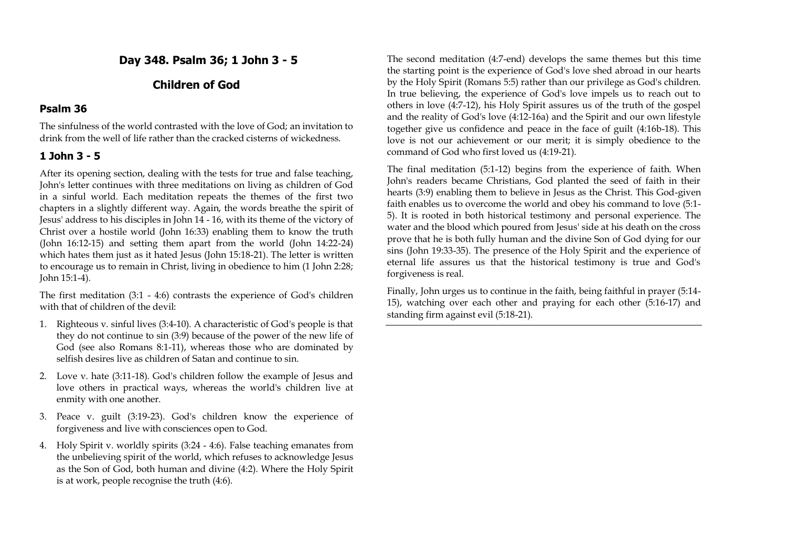**Day 348. Psalm 36; 1 John 3 - 5**

# **Children of God**

### **Psalm 36**

The sinfulness of the world contrasted with the love of God; an invitation to drink from the well of life rather than the cracked cisterns of wickedness.

# **1 John 3 - 5**

After its opening section, dealing with the tests for true and false teaching, John's letter continues with three meditations on living as children of God in a sinful world. Each meditation repeats the themes of the first two chapters in a slightly different way. Again, the words breathe the spirit of Jesus' address to his disciples in John 14 - 16, with its theme of the victory of Christ over a hostile world (John 16:33) enabling them to know the truth (John 16:12-15) and setting them apart from the world (John 14:22-24) which hates them just as it hated Jesus (John 15:18-21). The letter is written to encourage us to remain in Christ, living in obedience to him (1 John 2:28; John 15:1-4).

The first meditation (3:1 - 4:6) contrasts the experience of God's children with that of children of the devil:

- 1. Righteous v. sinful lives (3:4-10). A characteristic of God's people is that they do not continue to sin (3:9) because of the power of the new life of God (see also Romans 8:1-11), whereas those who are dominated by selfish desires live as children of Satan and continue to sin.
- 2. Love v. hate (3:11-18). God's children follow the example of Jesus and love others in practical ways, whereas the world's children live at enmity with one another.
- 3. Peace v. guilt (3:19-23). God's children know the experience of forgiveness and live with consciences open to God.
- 4. Holy Spirit v. worldly spirits (3:24 4:6). False teaching emanates from the unbelieving spirit of the world, which refuses to acknowledge Jesus as the Son of God, both human and divine (4:2). Where the Holy Spirit is at work, people recognise the truth (4:6).

The second meditation (4:7-end) develops the same themes but this time the starting point is the experience of God's love shed abroad in our hearts by the Holy Spirit (Romans 5:5) rather than our privilege as God's children. In true believing, the experience of God's love impels us to reach out to others in love (4:7-12), his Holy Spirit assures us of the truth of the gospel and the reality of God's love (4:12-16a) and the Spirit and our own lifestyle together give us confidence and peace in the face of guilt (4:16b-18). This love is not our achievement or our merit; it is simply obedience to the command of God who first loved us (4:19-21).

The final meditation (5:1-12) begins from the experience of faith. When John's readers became Christians, God planted the seed of faith in their hearts (3:9) enabling them to believe in Jesus as the Christ. This God-given faith enables us to overcome the world and obey his command to love (5:1- 5). It is rooted in both historical testimony and personal experience. The water and the blood which poured from Jesus' side at his death on the cross prove that he is both fully human and the divine Son of God dying for our sins (John 19:33-35). The presence of the Holy Spirit and the experience of eternal life assures us that the historical testimony is true and God's forgiveness is real.

Finally, John urges us to continue in the faith, being faithful in prayer (5:14- 15), watching over each other and praying for each other (5:16-17) and standing firm against evil (5:18-21).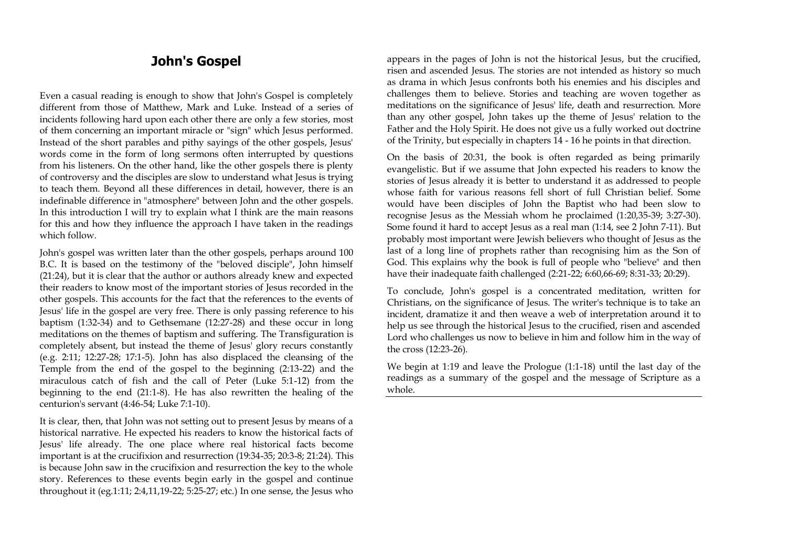# **John's Gospel**

Even a casual reading is enough to show that John's Gospel is completely different from those of Matthew, Mark and Luke. Instead of a series of incidents following hard upon each other there are only a few stories, most of them concerning an important miracle or "sign" which Jesus performed. Instead of the short parables and pithy sayings of the other gospels, Jesus' words come in the form of long sermons often interrupted by questions from his listeners. On the other hand, like the other gospels there is plenty of controversy and the disciples are slow to understand what Jesus is trying to teach them. Beyond all these differences in detail, however, there is an indefinable difference in "atmosphere" between John and the other gospels. In this introduction I will try to explain what I think are the main reasons for this and how they influence the approach I have taken in the readings which follow.

John's gospel was written later than the other gospels, perhaps around 100 B.C. It is based on the testimony of the "beloved disciple", John himself (21:24), but it is clear that the author or authors already knew and expected their readers to know most of the important stories of Jesus recorded in the other gospels. This accounts for the fact that the references to the events of Jesus' life in the gospel are very free. There is only passing reference to his baptism (1:32-34) and to Gethsemane (12:27-28) and these occur in long meditations on the themes of baptism and suffering. The Transfiguration is completely absent, but instead the theme of Jesus' glory recurs constantly (e.g. 2:11; 12:27-28; 17:1-5). John has also displaced the cleansing of the Temple from the end of the gospel to the beginning (2:13-22) and the miraculous catch of fish and the call of Peter (Luke 5:1-12) from the beginning to the end (21:1-8). He has also rewritten the healing of the centurion's servant (4:46-54; Luke 7:1-10).

It is clear, then, that John was not setting out to present Jesus by means of a historical narrative. He expected his readers to know the historical facts of Jesus' life already. The one place where real historical facts become important is at the crucifixion and resurrection (19:34-35; 20:3-8; 21:24). This is because John saw in the crucifixion and resurrection the key to the whole story. References to these events begin early in the gospel and continue throughout it (eg.1:11; 2:4,11,19-22; 5:25-27; etc.) In one sense, the Jesus who

appears in the pages of John is not the historical Jesus, but the crucified, risen and ascended Jesus. The stories are not intended as history so much as drama in which Jesus confronts both his enemies and his disciples and challenges them to believe. Stories and teaching are woven together as meditations on the significance of Jesus' life, death and resurrection. More than any other gospel, John takes up the theme of Jesus' relation to the Father and the Holy Spirit. He does not give us a fully worked out doctrine of the Trinity, but especially in chapters 14 - 16 he points in that direction.

On the basis of 20:31, the book is often regarded as being primarily evangelistic. But if we assume that John expected his readers to know the stories of Jesus already it is better to understand it as addressed to people whose faith for various reasons fell short of full Christian belief. Some would have been disciples of John the Baptist who had been slow to recognise Jesus as the Messiah whom he proclaimed (1:20,35-39; 3:27-30). Some found it hard to accept Jesus as a real man (1:14, see 2 John 7-11). But probably most important were Jewish believers who thought of Jesus as the last of a long line of prophets rather than recognising him as the Son of God. This explains why the book is full of people who "believe" and then have their inadequate faith challenged (2:21-22; 6:60,66-69; 8:31-33; 20:29).

To conclude, John's gospel is a concentrated meditation, written for Christians, on the significance of Jesus. The writer's technique is to take an incident, dramatize it and then weave a web of interpretation around it to help us see through the historical Jesus to the crucified, risen and ascended Lord who challenges us now to believe in him and follow him in the way of the cross (12:23-26).

We begin at 1:19 and leave the Prologue (1:1-18) until the last day of the readings as a summary of the gospel and the message of Scripture as a whole.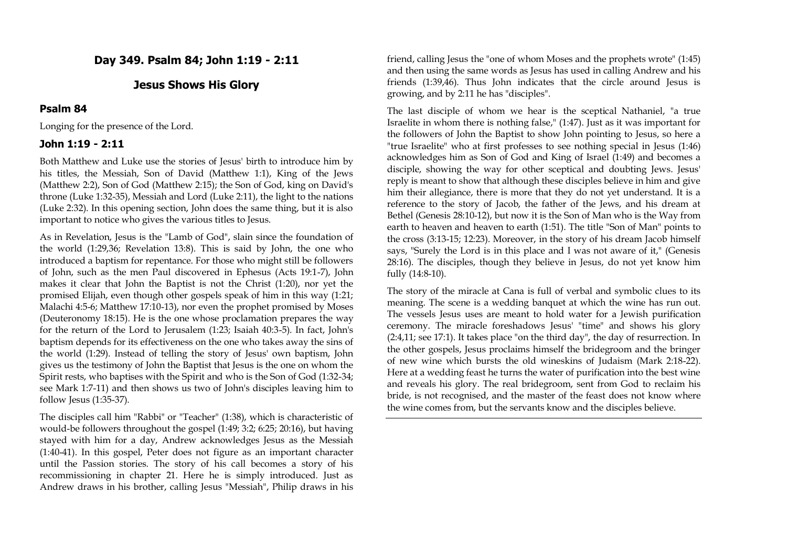## **Day 349. Psalm 84; John 1:19 - 2:11**

### **Jesus Shows His Glory**

#### **Psalm 84**

Longing for the presence of the Lord.

### **John 1:19 - 2:11**

Both Matthew and Luke use the stories of Jesus' birth to introduce him by his titles, the Messiah, Son of David (Matthew 1:1), King of the Jews (Matthew 2:2), Son of God (Matthew 2:15); the Son of God, king on David's throne (Luke 1:32-35), Messiah and Lord (Luke 2:11), the light to the nations (Luke 2:32). In this opening section, John does the same thing, but it is also important to notice who gives the various titles to Jesus.

As in Revelation, Jesus is the "Lamb of God", slain since the foundation of the world (1:29,36; Revelation 13:8). This is said by John, the one who introduced a baptism for repentance. For those who might still be followers of John, such as the men Paul discovered in Ephesus (Acts 19:1-7), John makes it clear that John the Baptist is not the Christ (1:20), nor yet the promised Elijah, even though other gospels speak of him in this way (1:21; Malachi 4:5-6; Matthew 17:10-13), nor even the prophet promised by Moses (Deuteronomy 18:15). He is the one whose proclamation prepares the way for the return of the Lord to Jerusalem (1:23; Isaiah 40:3-5). In fact, John's baptism depends for its effectiveness on the one who takes away the sins of the world (1:29). Instead of telling the story of Jesus' own baptism, John gives us the testimony of John the Baptist that Jesus is the one on whom the Spirit rests, who baptises with the Spirit and who is the Son of God (1:32-34; see Mark 1:7-11) and then shows us two of John's disciples leaving him to follow Jesus (1:35-37).

The disciples call him "Rabbi" or "Teacher" (1:38), which is characteristic of would-be followers throughout the gospel (1:49; 3:2; 6:25; 20:16), but having stayed with him for a day, Andrew acknowledges Jesus as the Messiah (1:40-41). In this gospel, Peter does not figure as an important character until the Passion stories. The story of his call becomes a story of his recommissioning in chapter 21. Here he is simply introduced. Just as Andrew draws in his brother, calling Jesus "Messiah", Philip draws in his

friend, calling Jesus the "one of whom Moses and the prophets wrote" (1:45) and then using the same words as Jesus has used in calling Andrew and his friends (1:39,46). Thus John indicates that the circle around Jesus is growing, and by 2:11 he has "disciples".

The last disciple of whom we hear is the sceptical Nathaniel, "a true Israelite in whom there is nothing false," (1:47). Just as it was important for the followers of John the Baptist to show John pointing to Jesus, so here a "true Israelite" who at first professes to see nothing special in Jesus (1:46) acknowledges him as Son of God and King of Israel (1:49) and becomes a disciple, showing the way for other sceptical and doubting Jews. Jesus' reply is meant to show that although these disciples believe in him and give him their allegiance, there is more that they do not yet understand. It is a reference to the story of Jacob, the father of the Jews, and his dream at Bethel (Genesis 28:10-12), but now it is the Son of Man who is the Way from earth to heaven and heaven to earth (1:51). The title "Son of Man" points to the cross (3:13-15; 12:23). Moreover, in the story of his dream Jacob himself says, "Surely the Lord is in this place and I was not aware of it," (Genesis 28:16). The disciples, though they believe in Jesus, do not yet know him fully (14:8-10).

The story of the miracle at Cana is full of verbal and symbolic clues to its meaning. The scene is a wedding banquet at which the wine has run out. The vessels Jesus uses are meant to hold water for a Jewish purification ceremony. The miracle foreshadows Jesus' "time" and shows his glory (2:4,11; see 17:1). It takes place "on the third day", the day of resurrection. In the other gospels, Jesus proclaims himself the bridegroom and the bringer of new wine which bursts the old wineskins of Judaism (Mark 2:18-22). Here at a wedding feast he turns the water of purification into the best wine and reveals his glory. The real bridegroom, sent from God to reclaim his bride, is not recognised, and the master of the feast does not know where the wine comes from, but the servants know and the disciples believe.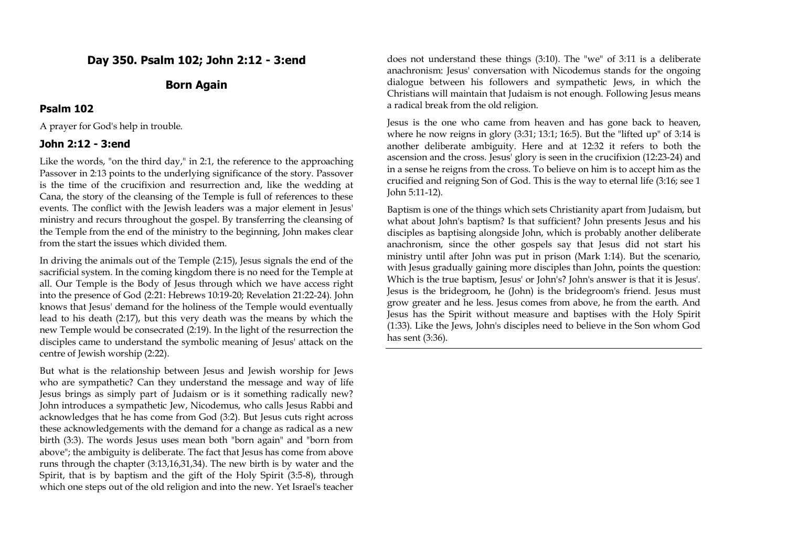# **Day 350. Psalm 102; John 2:12 - 3:end**

# **Born Again**

#### **Psalm 102**

A prayer for God's help in trouble.

#### **John 2:12 - 3:end**

Like the words, "on the third day," in 2:1, the reference to the approaching Passover in 2:13 points to the underlying significance of the story. Passover is the time of the crucifixion and resurrection and, like the wedding at Cana, the story of the cleansing of the Temple is full of references to these events. The conflict with the Jewish leaders was a major element in Jesus' ministry and recurs throughout the gospel. By transferring the cleansing of the Temple from the end of the ministry to the beginning, John makes clear from the start the issues which divided them.

In driving the animals out of the Temple (2:15), Jesus signals the end of the sacrificial system. In the coming kingdom there is no need for the Temple at all. Our Temple is the Body of Jesus through which we have access right into the presence of God (2:21: Hebrews 10:19-20; Revelation 21:22-24). John knows that Jesus' demand for the holiness of the Temple would eventually lead to his death (2:17), but this very death was the means by which the new Temple would be consecrated (2:19). In the light of the resurrection the disciples came to understand the symbolic meaning of Jesus' attack on the centre of Jewish worship (2:22).

But what is the relationship between Jesus and Jewish worship for Jews who are sympathetic? Can they understand the message and way of life Jesus brings as simply part of Judaism or is it something radically new? John introduces a sympathetic Jew, Nicodemus, who calls Jesus Rabbi and acknowledges that he has come from God (3:2). But Jesus cuts right across these acknowledgements with the demand for a change as radical as a new birth (3:3). The words Jesus uses mean both "born again" and "born from above"; the ambiguity is deliberate. The fact that Jesus has come from above runs through the chapter (3:13,16,31,34). The new birth is by water and the Spirit, that is by baptism and the gift of the Holy Spirit (3:5-8), through which one steps out of the old religion and into the new. Yet Israel's teacher

does not understand these things (3:10). The "we" of 3:11 is a deliberate anachronism: Jesus' conversation with Nicodemus stands for the ongoing dialogue between his followers and sympathetic Jews, in which the Christians will maintain that Judaism is not enough. Following Jesus means a radical break from the old religion.

Jesus is the one who came from heaven and has gone back to heaven, where he now reigns in glory (3:31; 13:1; 16:5). But the "lifted up" of 3:14 is another deliberate ambiguity. Here and at 12:32 it refers to both the ascension and the cross. Jesus' glory is seen in the crucifixion (12:23-24) and in a sense he reigns from the cross. To believe on him is to accept him as the crucified and reigning Son of God. This is the way to eternal life (3:16; see 1 John 5:11-12).

Baptism is one of the things which sets Christianity apart from Judaism, but what about John's baptism? Is that sufficient? John presents Jesus and his disciples as baptising alongside John, which is probably another deliberate anachronism, since the other gospels say that Jesus did not start his ministry until after John was put in prison (Mark 1:14). But the scenario, with Jesus gradually gaining more disciples than John, points the question: Which is the true baptism, Jesus' or John's? John's answer is that it is Jesus'. Jesus is the bridegroom, he (John) is the bridegroom's friend. Jesus must grow greater and he less. Jesus comes from above, he from the earth. And Jesus has the Spirit without measure and baptises with the Holy Spirit (1:33). Like the Jews, John's disciples need to believe in the Son whom God has sent (3:36).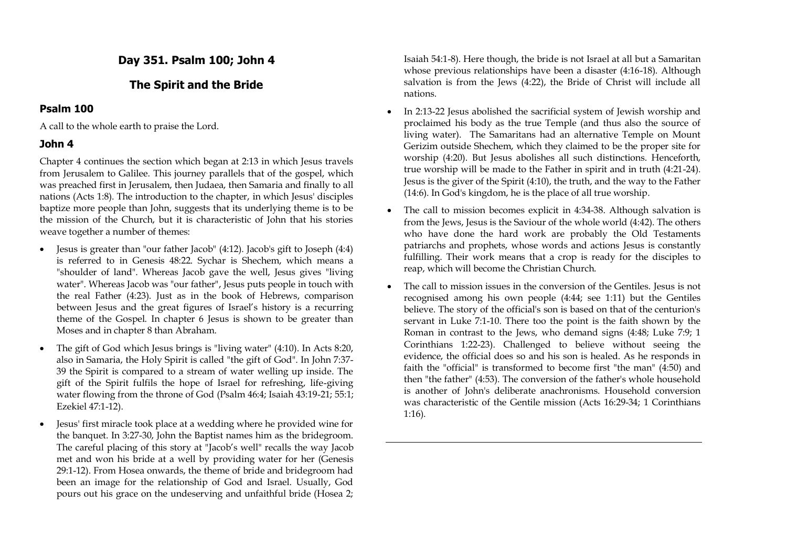# **Day 351. Psalm 100; John 4**

# **The Spirit and the Bride**

# **Psalm 100**

A call to the whole earth to praise the Lord.

## **John 4**

Chapter 4 continues the section which began at 2:13 in which Jesus travels from Jerusalem to Galilee. This journey parallels that of the gospel, which was preached first in Jerusalem, then Judaea, then Samaria and finally to all nations (Acts 1:8). The introduction to the chapter, in which Jesus' disciples baptize more people than John, suggests that its underlying theme is to be the mission of the Church, but it is characteristic of John that his stories weave together a number of themes:

- Jesus is greater than "our father Jacob" (4:12). Jacob's gift to Joseph (4:4) is referred to in Genesis 48:22. Sychar is Shechem, which means a "shoulder of land". Whereas Jacob gave the well, Jesus gives "living water". Whereas Jacob was "our father", Jesus puts people in touch with the real Father (4:23). Just as in the book of Hebrews, comparison between Jesus and the great figures of Israel's history is a recurring theme of the Gospel. In chapter 6 Jesus is shown to be greater than Moses and in chapter 8 than Abraham.
- The gift of God which Jesus brings is "living water"  $(4:10)$ . In Acts 8:20, also in Samaria, the Holy Spirit is called "the gift of God". In John 7:37- 39 the Spirit is compared to a stream of water welling up inside. The gift of the Spirit fulfils the hope of Israel for refreshing, life-giving water flowing from the throne of God (Psalm 46:4; Isaiah 43:19-21; 55:1; Ezekiel 47:1-12).
- Jesus' first miracle took place at a wedding where he provided wine for the banquet. In 3:27-30, John the Baptist names him as the bridegroom. The careful placing of this story at "Jacob's well" recalls the way Jacob met and won his bride at a well by providing water for her (Genesis 29:1-12). From Hosea onwards, the theme of bride and bridegroom had been an image for the relationship of God and Israel. Usually, God pours out his grace on the undeserving and unfaithful bride (Hosea 2;

Isaiah 54:1-8). Here though, the bride is not Israel at all but a Samaritan whose previous relationships have been a disaster (4:16-18). Although salvation is from the Jews (4:22), the Bride of Christ will include all nations.

- In 2:13-22 Jesus abolished the sacrificial system of Jewish worship and proclaimed his body as the true Temple (and thus also the source of living water). The Samaritans had an alternative Temple on Mount Gerizim outside Shechem, which they claimed to be the proper site for worship (4:20). But Jesus abolishes all such distinctions. Henceforth, true worship will be made to the Father in spirit and in truth (4:21-24). Jesus is the giver of the Spirit (4:10), the truth, and the way to the Father (14:6). In God's kingdom, he is the place of all true worship.
- The call to mission becomes explicit in 4:34-38. Although salvation is from the Jews, Jesus is the Saviour of the whole world (4:42). The others who have done the hard work are probably the Old Testaments patriarchs and prophets, whose words and actions Jesus is constantly fulfilling. Their work means that a crop is ready for the disciples to reap, which will become the Christian Church.
- The call to mission issues in the conversion of the Gentiles. Jesus is not recognised among his own people (4:44; see 1:11) but the Gentiles believe. The story of the official's son is based on that of the centurion's servant in Luke 7:1-10. There too the point is the faith shown by the Roman in contrast to the Jews, who demand signs (4:48; Luke 7:9; 1 Corinthians 1:22-23). Challenged to believe without seeing the evidence, the official does so and his son is healed. As he responds in faith the "official" is transformed to become first "the man" (4:50) and then "the father" (4:53). The conversion of the father's whole household is another of John's deliberate anachronisms. Household conversion was characteristic of the Gentile mission (Acts 16:29-34; 1 Corinthians 1:16).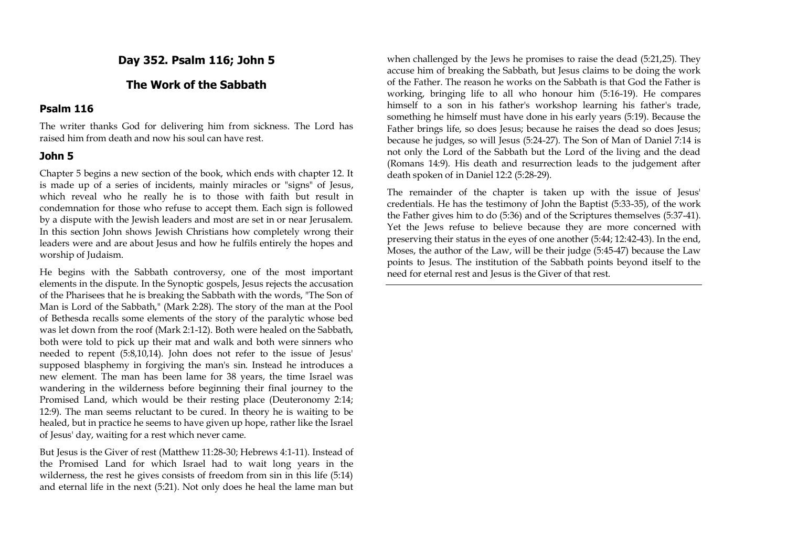# **Day 352. Psalm 116; John 5**

### **The Work of the Sabbath**

#### **Psalm 116**

The writer thanks God for delivering him from sickness. The Lord has raised him from death and now his soul can have rest.

### **John 5**

Chapter 5 begins a new section of the book, which ends with chapter 12. It is made up of a series of incidents, mainly miracles or "signs" of Jesus, which reveal who he really he is to those with faith but result in condemnation for those who refuse to accept them. Each sign is followed by a dispute with the Jewish leaders and most are set in or near Jerusalem. In this section John shows Jewish Christians how completely wrong their leaders were and are about Jesus and how he fulfils entirely the hopes and worship of Judaism.

He begins with the Sabbath controversy, one of the most important elements in the dispute. In the Synoptic gospels, Jesus rejects the accusation of the Pharisees that he is breaking the Sabbath with the words, "The Son of Man is Lord of the Sabbath," (Mark 2:28). The story of the man at the Pool of Bethesda recalls some elements of the story of the paralytic whose bed was let down from the roof (Mark 2:1-12). Both were healed on the Sabbath, both were told to pick up their mat and walk and both were sinners who needed to repent (5:8,10,14). John does not refer to the issue of Jesus' supposed blasphemy in forgiving the man's sin. Instead he introduces a new element. The man has been lame for 38 years, the time Israel was wandering in the wilderness before beginning their final journey to the Promised Land, which would be their resting place (Deuteronomy 2:14; 12:9). The man seems reluctant to be cured. In theory he is waiting to be healed, but in practice he seems to have given up hope, rather like the Israel of Jesus' day, waiting for a rest which never came.

But Jesus is the Giver of rest (Matthew 11:28-30; Hebrews 4:1-11). Instead of the Promised Land for which Israel had to wait long years in the wilderness, the rest he gives consists of freedom from sin in this life (5:14) and eternal life in the next (5:21). Not only does he heal the lame man but

when challenged by the Jews he promises to raise the dead (5:21,25). They accuse him of breaking the Sabbath, but Jesus claims to be doing the work of the Father. The reason he works on the Sabbath is that God the Father is working, bringing life to all who honour him (5:16-19). He compares himself to a son in his father's workshop learning his father's trade, something he himself must have done in his early years (5:19). Because the Father brings life, so does Jesus; because he raises the dead so does Jesus; because he judges, so will Jesus (5:24-27). The Son of Man of Daniel 7:14 is not only the Lord of the Sabbath but the Lord of the living and the dead (Romans 14:9). His death and resurrection leads to the judgement after death spoken of in Daniel 12:2 (5:28-29).

The remainder of the chapter is taken up with the issue of Jesus' credentials. He has the testimony of John the Baptist (5:33-35), of the work the Father gives him to do (5:36) and of the Scriptures themselves (5:37-41). Yet the Jews refuse to believe because they are more concerned with preserving their status in the eyes of one another (5:44; 12:42-43). In the end, Moses, the author of the Law, will be their judge (5:45-47) because the Law points to Jesus. The institution of the Sabbath points beyond itself to the need for eternal rest and Jesus is the Giver of that rest.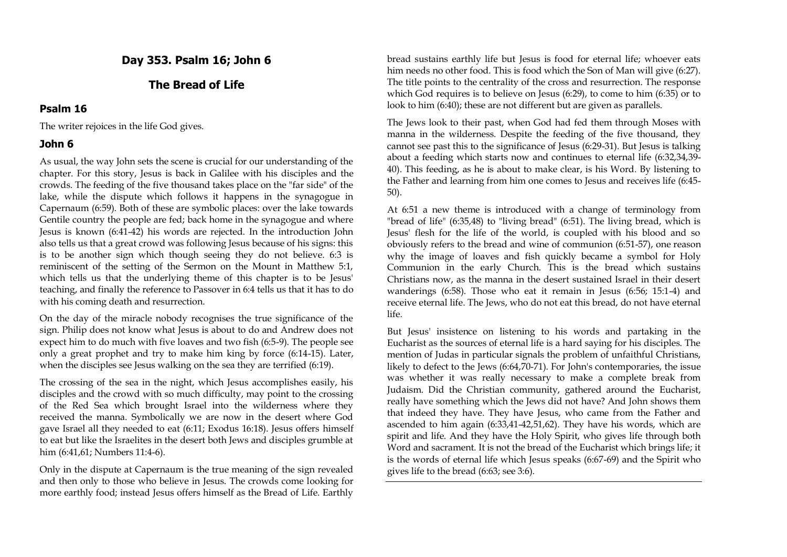# **Day 353. Psalm 16; John 6**

## **The Bread of Life**

#### **Psalm 16**

The writer rejoices in the life God gives.

### **John 6**

As usual, the way John sets the scene is crucial for our understanding of the chapter. For this story, Jesus is back in Galilee with his disciples and the crowds. The feeding of the five thousand takes place on the "far side" of the lake, while the dispute which follows it happens in the synagogue in Capernaum (6:59). Both of these are symbolic places: over the lake towards Gentile country the people are fed; back home in the synagogue and where Jesus is known (6:41-42) his words are rejected. In the introduction John also tells us that a great crowd was following Jesus because of his signs: this is to be another sign which though seeing they do not believe. 6:3 is reminiscent of the setting of the Sermon on the Mount in Matthew 5:1, which tells us that the underlying theme of this chapter is to be Jesus' teaching, and finally the reference to Passover in 6:4 tells us that it has to do with his coming death and resurrection.

On the day of the miracle nobody recognises the true significance of the sign. Philip does not know what Jesus is about to do and Andrew does not expect him to do much with five loaves and two fish (6:5-9). The people see only a great prophet and try to make him king by force (6:14-15). Later, when the disciples see Jesus walking on the sea they are terrified (6:19).

The crossing of the sea in the night, which Jesus accomplishes easily, his disciples and the crowd with so much difficulty, may point to the crossing of the Red Sea which brought Israel into the wilderness where they received the manna. Symbolically we are now in the desert where God gave Israel all they needed to eat (6:11; Exodus 16:18). Jesus offers himself to eat but like the Israelites in the desert both Jews and disciples grumble at him (6:41,61; Numbers 11:4-6).

Only in the dispute at Capernaum is the true meaning of the sign revealed and then only to those who believe in Jesus. The crowds come looking for more earthly food; instead Jesus offers himself as the Bread of Life. Earthly

bread sustains earthly life but Jesus is food for eternal life; whoever eats him needs no other food. This is food which the Son of Man will give (6:27). The title points to the centrality of the cross and resurrection. The response which God requires is to believe on Jesus (6:29), to come to him (6:35) or to look to him (6:40); these are not different but are given as parallels.

The Jews look to their past, when God had fed them through Moses with manna in the wilderness. Despite the feeding of the five thousand, they cannot see past this to the significance of Jesus (6:29-31). But Jesus is talking about a feeding which starts now and continues to eternal life (6:32,34,39- 40). This feeding, as he is about to make clear, is his Word. By listening to the Father and learning from him one comes to Jesus and receives life (6:45- 50).

At 6:51 a new theme is introduced with a change of terminology from "bread of life" (6:35,48) to "living bread" (6:51). The living bread, which is Jesus' flesh for the life of the world, is coupled with his blood and so obviously refers to the bread and wine of communion (6:51-57), one reason why the image of loaves and fish quickly became a symbol for Holy Communion in the early Church. This is the bread which sustains Christians now, as the manna in the desert sustained Israel in their desert wanderings (6:58). Those who eat it remain in Jesus (6:56; 15:1-4) and receive eternal life. The Jews, who do not eat this bread, do not have eternal life.

But Jesus' insistence on listening to his words and partaking in the Eucharist as the sources of eternal life is a hard saying for his disciples. The mention of Judas in particular signals the problem of unfaithful Christians, likely to defect to the Jews (6:64,70-71). For John's contemporaries, the issue was whether it was really necessary to make a complete break from Judaism. Did the Christian community, gathered around the Eucharist, really have something which the Jews did not have? And John shows them that indeed they have. They have Jesus, who came from the Father and ascended to him again (6:33,41-42,51,62). They have his words, which are spirit and life. And they have the Holy Spirit, who gives life through both Word and sacrament. It is not the bread of the Eucharist which brings life; it is the words of eternal life which Jesus speaks (6:67-69) and the Spirit who gives life to the bread (6:63; see 3:6).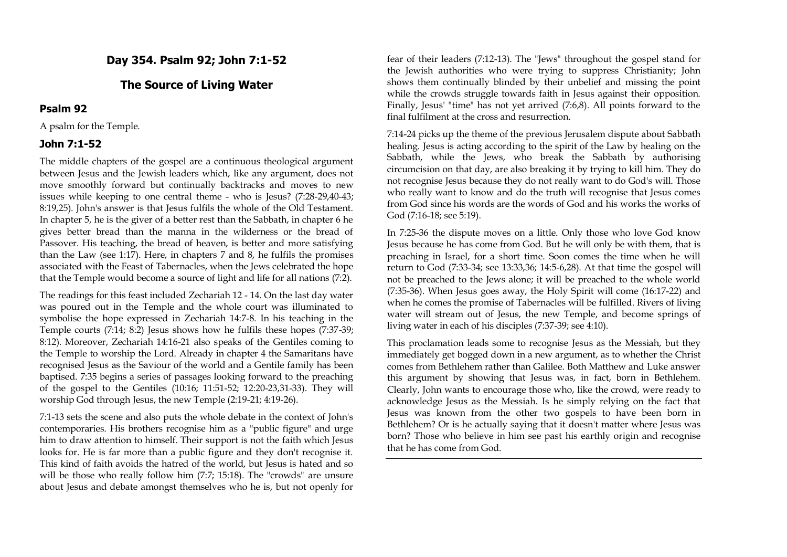**Day 354. Psalm 92; John 7:1-52**

### **The Source of Living Water**

#### **Psalm 92**

A psalm for the Temple.

#### **John 7:1-52**

The middle chapters of the gospel are a continuous theological argument between Jesus and the Jewish leaders which, like any argument, does not move smoothly forward but continually backtracks and moves to new issues while keeping to one central theme - who is Jesus? (7:28-29,40-43; 8:19,25). John's answer is that Jesus fulfils the whole of the Old Testament. In chapter 5, he is the giver of a better rest than the Sabbath, in chapter 6 he gives better bread than the manna in the wilderness or the bread of Passover. His teaching, the bread of heaven, is better and more satisfying than the Law (see 1:17). Here, in chapters 7 and 8, he fulfils the promises associated with the Feast of Tabernacles, when the Jews celebrated the hope that the Temple would become a source of light and life for all nations (7:2).

The readings for this feast included Zechariah 12 - 14. On the last day water was poured out in the Temple and the whole court was illuminated to symbolise the hope expressed in Zechariah 14:7-8. In his teaching in the Temple courts (7:14; 8:2) Jesus shows how he fulfils these hopes (7:37-39; 8:12). Moreover, Zechariah 14:16-21 also speaks of the Gentiles coming to the Temple to worship the Lord. Already in chapter 4 the Samaritans have recognised Jesus as the Saviour of the world and a Gentile family has been baptised. 7:35 begins a series of passages looking forward to the preaching of the gospel to the Gentiles (10:16; 11:51-52; 12:20-23,31-33). They will worship God through Jesus, the new Temple (2:19-21; 4:19-26).

7:1-13 sets the scene and also puts the whole debate in the context of John's contemporaries. His brothers recognise him as a "public figure" and urge him to draw attention to himself. Their support is not the faith which Jesus looks for. He is far more than a public figure and they don't recognise it. This kind of faith avoids the hatred of the world, but Jesus is hated and so will be those who really follow him (7:7; 15:18). The "crowds" are unsure about Jesus and debate amongst themselves who he is, but not openly for

fear of their leaders (7:12-13). The "Jews" throughout the gospel stand for the Jewish authorities who were trying to suppress Christianity; John shows them continually blinded by their unbelief and missing the point while the crowds struggle towards faith in Jesus against their opposition. Finally, Jesus' "time" has not yet arrived (7:6,8). All points forward to the final fulfilment at the cross and resurrection.

7:14-24 picks up the theme of the previous Jerusalem dispute about Sabbath healing. Jesus is acting according to the spirit of the Law by healing on the Sabbath, while the Jews, who break the Sabbath by authorising circumcision on that day, are also breaking it by trying to kill him. They do not recognise Jesus because they do not really want to do God's will. Those who really want to know and do the truth will recognise that Jesus comes from God since his words are the words of God and his works the works of God (7:16-18; see 5:19).

In 7:25-36 the dispute moves on a little. Only those who love God know Jesus because he has come from God. But he will only be with them, that is preaching in Israel, for a short time. Soon comes the time when he will return to God (7:33-34; see 13:33,36; 14:5-6,28). At that time the gospel will not be preached to the Jews alone; it will be preached to the whole world (7:35-36). When Jesus goes away, the Holy Spirit will come (16:17-22) and when he comes the promise of Tabernacles will be fulfilled. Rivers of living water will stream out of Jesus, the new Temple, and become springs of living water in each of his disciples (7:37-39; see 4:10).

This proclamation leads some to recognise Jesus as the Messiah, but they immediately get bogged down in a new argument, as to whether the Christ comes from Bethlehem rather than Galilee. Both Matthew and Luke answer this argument by showing that Jesus was, in fact, born in Bethlehem. Clearly, John wants to encourage those who, like the crowd, were ready to acknowledge Jesus as the Messiah. Is he simply relying on the fact that Jesus was known from the other two gospels to have been born in Bethlehem? Or is he actually saying that it doesn't matter where Jesus was born? Those who believe in him see past his earthly origin and recognise that he has come from God.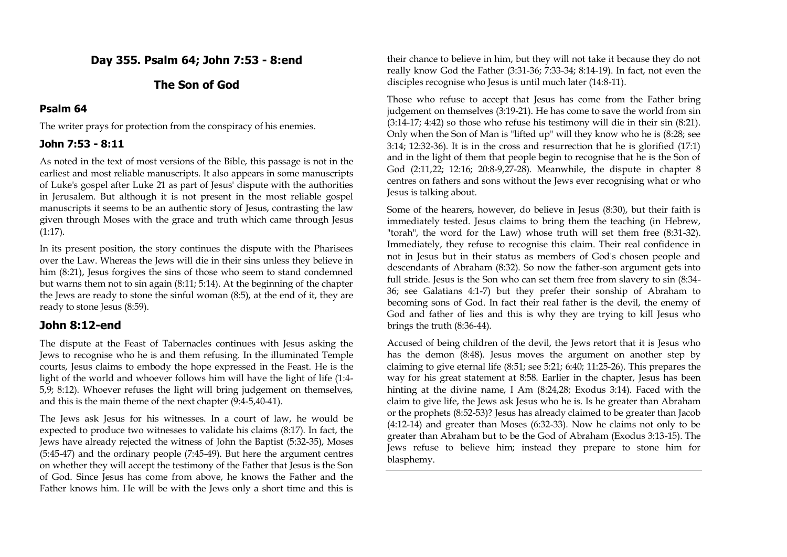# **Day 355. Psalm 64; John 7:53 - 8:end**

# **The Son of God**

# **Psalm 64**

The writer prays for protection from the conspiracy of his enemies.

# **John 7:53 - 8:11**

As noted in the text of most versions of the Bible, this passage is not in the earliest and most reliable manuscripts. It also appears in some manuscripts of Luke's gospel after Luke 21 as part of Jesus' dispute with the authorities in Jerusalem. But although it is not present in the most reliable gospel manuscripts it seems to be an authentic story of Jesus, contrasting the law given through Moses with the grace and truth which came through Jesus (1:17).

In its present position, the story continues the dispute with the Pharisees over the Law. Whereas the Jews will die in their sins unless they believe in him (8:21), Jesus forgives the sins of those who seem to stand condemned but warns them not to sin again (8:11; 5:14). At the beginning of the chapter the Jews are ready to stone the sinful woman (8:5), at the end of it, they are ready to stone Jesus (8:59).

# **John 8:12-end**

The dispute at the Feast of Tabernacles continues with Jesus asking the Jews to recognise who he is and them refusing. In the illuminated Temple courts, Jesus claims to embody the hope expressed in the Feast. He is the light of the world and whoever follows him will have the light of life (1:4- 5,9; 8:12). Whoever refuses the light will bring judgement on themselves, and this is the main theme of the next chapter (9:4-5,40-41).

The Jews ask Jesus for his witnesses. In a court of law, he would be expected to produce two witnesses to validate his claims (8:17). In fact, the Jews have already rejected the witness of John the Baptist (5:32-35), Moses (5:45-47) and the ordinary people (7:45-49). But here the argument centres on whether they will accept the testimony of the Father that Jesus is the Son of God. Since Jesus has come from above, he knows the Father and the Father knows him. He will be with the Jews only a short time and this is

their chance to believe in him, but they will not take it because they do not really know God the Father (3:31-36; 7:33-34; 8:14-19). In fact, not even the disciples recognise who Jesus is until much later (14:8-11).

Those who refuse to accept that Jesus has come from the Father bring judgement on themselves (3:19-21). He has come to save the world from sin (3:14-17; 4:42) so those who refuse his testimony will die in their sin (8:21). Only when the Son of Man is "lifted up" will they know who he is (8:28; see 3:14; 12:32-36). It is in the cross and resurrection that he is glorified (17:1) and in the light of them that people begin to recognise that he is the Son of God (2:11,22; 12:16; 20:8-9,27-28). Meanwhile, the dispute in chapter 8 centres on fathers and sons without the Jews ever recognising what or who Jesus is talking about.

Some of the hearers, however, do believe in Jesus (8:30), but their faith is immediately tested. Jesus claims to bring them the teaching (in Hebrew, "torah", the word for the Law) whose truth will set them free (8:31-32). Immediately, they refuse to recognise this claim. Their real confidence in not in Jesus but in their status as members of God's chosen people and descendants of Abraham (8:32). So now the father-son argument gets into full stride. Jesus is the Son who can set them free from slavery to sin (8:34- 36; see Galatians 4:1-7) but they prefer their sonship of Abraham to becoming sons of God. In fact their real father is the devil, the enemy of God and father of lies and this is why they are trying to kill Jesus who brings the truth (8:36-44).

Accused of being children of the devil, the Jews retort that it is Jesus who has the demon (8:48). Jesus moves the argument on another step by claiming to give eternal life (8:51; see 5:21; 6:40; 11:25-26). This prepares the way for his great statement at 8:58. Earlier in the chapter, Jesus has been hinting at the divine name, I Am (8:24,28; Exodus 3:14). Faced with the claim to give life, the Jews ask Jesus who he is. Is he greater than Abraham or the prophets (8:52-53)? Jesus has already claimed to be greater than Jacob (4:12-14) and greater than Moses (6:32-33). Now he claims not only to be greater than Abraham but to be the God of Abraham (Exodus 3:13-15). The Jews refuse to believe him; instead they prepare to stone him for blasphemy.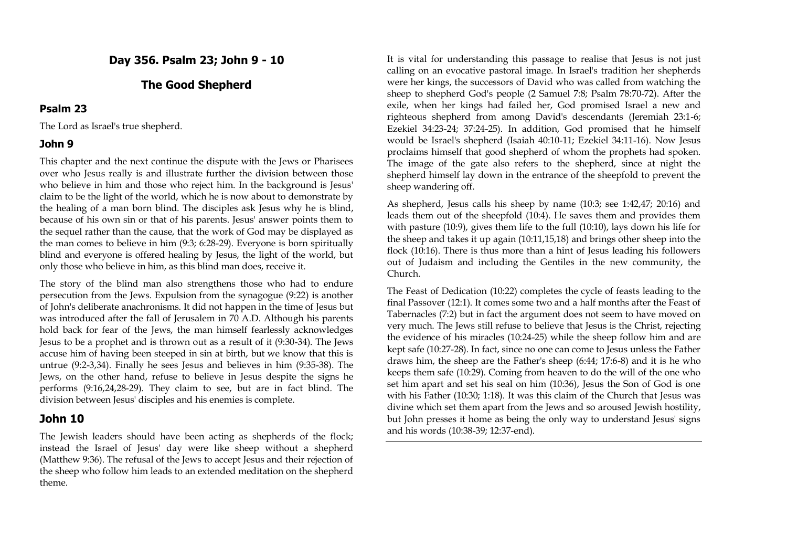**Day 356. Psalm 23; John 9 - 10**

## **The Good Shepherd**

#### **Psalm 23**

The Lord as Israel's true shepherd.

### **John 9**

This chapter and the next continue the dispute with the Jews or Pharisees over who Jesus really is and illustrate further the division between those who believe in him and those who reject him. In the background is Jesus' claim to be the light of the world, which he is now about to demonstrate by the healing of a man born blind. The disciples ask Jesus why he is blind, because of his own sin or that of his parents. Jesus' answer points them to the sequel rather than the cause, that the work of God may be displayed as the man comes to believe in him (9:3; 6:28-29). Everyone is born spiritually blind and everyone is offered healing by Jesus, the light of the world, but only those who believe in him, as this blind man does, receive it.

The story of the blind man also strengthens those who had to endure persecution from the Jews. Expulsion from the synagogue (9:22) is another of John's deliberate anachronisms. It did not happen in the time of Jesus but was introduced after the fall of Jerusalem in 70 A.D. Although his parents hold back for fear of the Jews, the man himself fearlessly acknowledges Jesus to be a prophet and is thrown out as a result of it (9:30-34). The Jews accuse him of having been steeped in sin at birth, but we know that this is untrue (9:2-3,34). Finally he sees Jesus and believes in him (9:35-38). The Jews, on the other hand, refuse to believe in Jesus despite the signs he performs (9:16,24,28-29). They claim to see, but are in fact blind. The division between Jesus' disciples and his enemies is complete.

# **John 10**

The Jewish leaders should have been acting as shepherds of the flock; instead the Israel of Jesus' day were like sheep without a shepherd (Matthew 9:36). The refusal of the Jews to accept Jesus and their rejection of the sheep who follow him leads to an extended meditation on the shepherd theme.

It is vital for understanding this passage to realise that Jesus is not just calling on an evocative pastoral image. In Israel's tradition her shepherds were her kings, the successors of David who was called from watching the sheep to shepherd God's people (2 Samuel 7:8; Psalm 78:70-72). After the exile, when her kings had failed her, God promised Israel a new and righteous shepherd from among David's descendants (Jeremiah 23:1-6; Ezekiel 34:23-24; 37:24-25). In addition, God promised that he himself would be Israel's shepherd (Isaiah 40:10-11; Ezekiel 34:11-16). Now Jesus proclaims himself that good shepherd of whom the prophets had spoken. The image of the gate also refers to the shepherd, since at night the shepherd himself lay down in the entrance of the sheepfold to prevent the sheep wandering off.

As shepherd, Jesus calls his sheep by name (10:3; see 1:42,47; 20:16) and leads them out of the sheepfold (10:4). He saves them and provides them with pasture (10:9), gives them life to the full (10:10), lays down his life for the sheep and takes it up again (10:11,15,18) and brings other sheep into the flock (10:16). There is thus more than a hint of Jesus leading his followers out of Judaism and including the Gentiles in the new community, the Church.

The Feast of Dedication (10:22) completes the cycle of feasts leading to the final Passover (12:1). It comes some two and a half months after the Feast of Tabernacles (7:2) but in fact the argument does not seem to have moved on very much. The Jews still refuse to believe that Jesus is the Christ, rejecting the evidence of his miracles (10:24-25) while the sheep follow him and are kept safe (10:27-28). In fact, since no one can come to Jesus unless the Father draws him, the sheep are the Father's sheep (6:44; 17:6-8) and it is he who keeps them safe (10:29). Coming from heaven to do the will of the one who set him apart and set his seal on him (10:36), Jesus the Son of God is one with his Father (10:30; 1:18). It was this claim of the Church that Jesus was divine which set them apart from the Jews and so aroused Jewish hostility, but John presses it home as being the only way to understand Jesus' signs and his words (10:38-39; 12:37-end).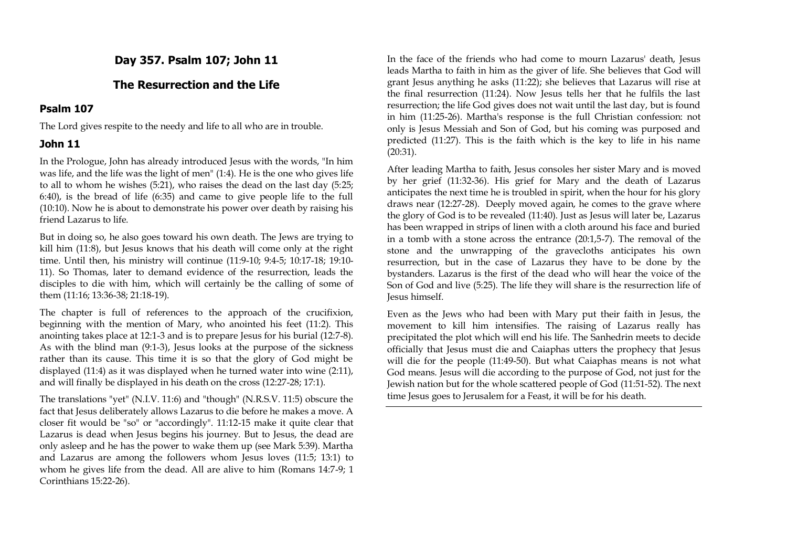**Day 357. Psalm 107; John 11**

# **The Resurrection and the Life**

### **Psalm 107**

The Lord gives respite to the needy and life to all who are in trouble.

### **John 11**

In the Prologue, John has already introduced Jesus with the words, "In him was life, and the life was the light of men" (1:4). He is the one who gives life to all to whom he wishes (5:21), who raises the dead on the last day (5:25; 6:40), is the bread of life (6:35) and came to give people life to the full (10:10). Now he is about to demonstrate his power over death by raising his friend Lazarus to life.

But in doing so, he also goes toward his own death. The Jews are trying to kill him (11:8), but Jesus knows that his death will come only at the right time. Until then, his ministry will continue (11:9-10; 9:4-5; 10:17-18; 19:10- 11). So Thomas, later to demand evidence of the resurrection, leads the disciples to die with him, which will certainly be the calling of some of them (11:16; 13:36-38; 21:18-19).

The chapter is full of references to the approach of the crucifixion, beginning with the mention of Mary, who anointed his feet (11:2). This anointing takes place at 12:1-3 and is to prepare Jesus for his burial (12:7-8). As with the blind man (9:1-3), Jesus looks at the purpose of the sickness rather than its cause. This time it is so that the glory of God might be displayed (11:4) as it was displayed when he turned water into wine (2:11), and will finally be displayed in his death on the cross (12:27-28; 17:1).

The translations "yet" (N.I.V. 11:6) and "though" (N.R.S.V. 11:5) obscure the fact that Jesus deliberately allows Lazarus to die before he makes a move. A closer fit would be "so" or "accordingly". 11:12-15 make it quite clear that Lazarus is dead when Jesus begins his journey. But to Jesus, the dead are only asleep and he has the power to wake them up (see Mark 5:39). Martha and Lazarus are among the followers whom Jesus loves (11:5; 13:1) to whom he gives life from the dead. All are alive to him (Romans 14:7-9; 1 Corinthians 15:22-26).

In the face of the friends who had come to mourn Lazarus' death, Jesus leads Martha to faith in him as the giver of life. She believes that God will grant Jesus anything he asks (11:22); she believes that Lazarus will rise at the final resurrection (11:24). Now Jesus tells her that he fulfils the last resurrection; the life God gives does not wait until the last day, but is found in him (11:25-26). Martha's response is the full Christian confession: not only is Jesus Messiah and Son of God, but his coming was purposed and predicted (11:27). This is the faith which is the key to life in his name (20:31).

After leading Martha to faith, Jesus consoles her sister Mary and is moved by her grief (11:32-36). His grief for Mary and the death of Lazarus anticipates the next time he is troubled in spirit, when the hour for his glory draws near (12:27-28). Deeply moved again, he comes to the grave where the glory of God is to be revealed (11:40). Just as Jesus will later be, Lazarus has been wrapped in strips of linen with a cloth around his face and buried in a tomb with a stone across the entrance (20:1,5-7). The removal of the stone and the unwrapping of the gravecloths anticipates his own resurrection, but in the case of Lazarus they have to be done by the bystanders. Lazarus is the first of the dead who will hear the voice of the Son of God and live (5:25). The life they will share is the resurrection life of Jesus himself.

Even as the Jews who had been with Mary put their faith in Jesus, the movement to kill him intensifies. The raising of Lazarus really has precipitated the plot which will end his life. The Sanhedrin meets to decide officially that Jesus must die and Caiaphas utters the prophecy that Jesus will die for the people (11:49-50). But what Caiaphas means is not what God means. Jesus will die according to the purpose of God, not just for the Jewish nation but for the whole scattered people of God (11:51-52). The next time Jesus goes to Jerusalem for a Feast, it will be for his death.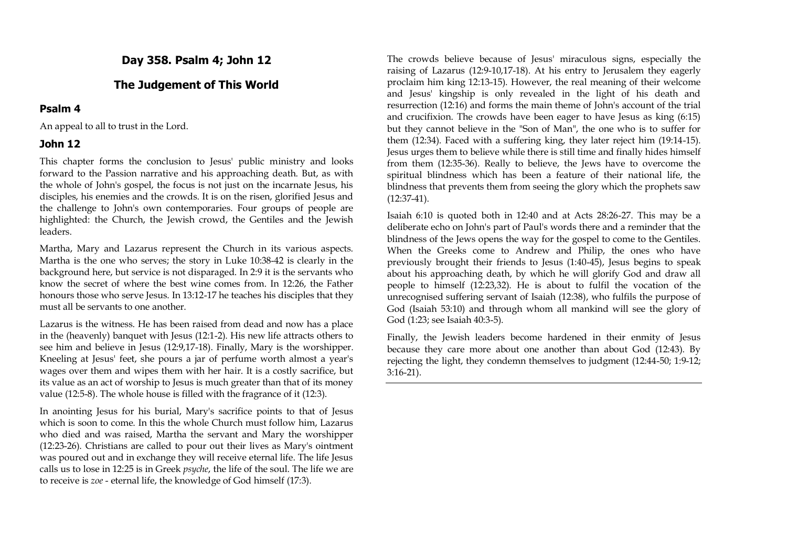**Day 358. Psalm 4; John 12**

# **The Judgement of This World**

#### **Psalm 4**

An appeal to all to trust in the Lord.

#### **John 12**

This chapter forms the conclusion to Jesus' public ministry and looks forward to the Passion narrative and his approaching death. But, as with the whole of John's gospel, the focus is not just on the incarnate Jesus, his disciples, his enemies and the crowds. It is on the risen, glorified Jesus and the challenge to John's own contemporaries. Four groups of people are highlighted: the Church, the Jewish crowd, the Gentiles and the Jewish leaders.

Martha, Mary and Lazarus represent the Church in its various aspects. Martha is the one who serves; the story in Luke 10:38-42 is clearly in the background here, but service is not disparaged. In 2:9 it is the servants who know the secret of where the best wine comes from. In 12:26, the Father honours those who serve Jesus. In 13:12-17 he teaches his disciples that they must all be servants to one another.

Lazarus is the witness. He has been raised from dead and now has a place in the (heavenly) banquet with Jesus (12:1-2). His new life attracts others to see him and believe in Jesus (12:9,17-18). Finally, Mary is the worshipper. Kneeling at Jesus' feet, she pours a jar of perfume worth almost a year's wages over them and wipes them with her hair. It is a costly sacrifice, but its value as an act of worship to Jesus is much greater than that of its money value (12:5-8). The whole house is filled with the fragrance of it (12:3).

In anointing Jesus for his burial, Mary's sacrifice points to that of Jesus which is soon to come. In this the whole Church must follow him, Lazarus who died and was raised, Martha the servant and Mary the worshipper (12:23-26). Christians are called to pour out their lives as Mary's ointment was poured out and in exchange they will receive eternal life. The life Jesus calls us to lose in 12:25 is in Greek *psyche*, the life of the soul. The life we are to receive is *zoe* - eternal life, the knowledge of God himself (17:3).

The crowds believe because of Jesus' miraculous signs, especially the raising of Lazarus (12:9-10,17-18). At his entry to Jerusalem they eagerly proclaim him king 12:13-15). However, the real meaning of their welcome and Jesus' kingship is only revealed in the light of his death and resurrection (12:16) and forms the main theme of John's account of the trial and crucifixion. The crowds have been eager to have Jesus as king (6:15) but they cannot believe in the "Son of Man", the one who is to suffer for them (12:34). Faced with a suffering king, they later reject him (19:14-15). Jesus urges them to believe while there is still time and finally hides himself from them (12:35-36). Really to believe, the Jews have to overcome the spiritual blindness which has been a feature of their national life, the blindness that prevents them from seeing the glory which the prophets saw (12:37-41).

Isaiah 6:10 is quoted both in 12:40 and at Acts 28:26-27. This may be a deliberate echo on John's part of Paul's words there and a reminder that the blindness of the Jews opens the way for the gospel to come to the Gentiles. When the Greeks come to Andrew and Philip, the ones who have previously brought their friends to Jesus (1:40-45), Jesus begins to speak about his approaching death, by which he will glorify God and draw all people to himself (12:23,32). He is about to fulfil the vocation of the unrecognised suffering servant of Isaiah (12:38), who fulfils the purpose of God (Isaiah 53:10) and through whom all mankind will see the glory of God (1:23; see Isaiah 40:3-5).

Finally, the Jewish leaders become hardened in their enmity of Jesus because they care more about one another than about God (12:43). By rejecting the light, they condemn themselves to judgment (12:44-50; 1:9-12; 3:16-21).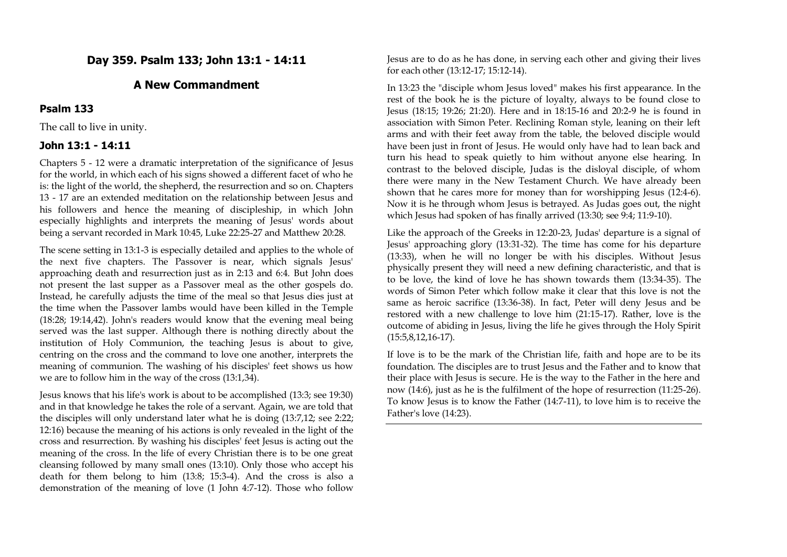# **Day 359. Psalm 133; John 13:1 - 14:11**

# **A New Commandment**

#### **Psalm 133**

The call to live in unity.

#### **John 13:1 - 14:11**

Chapters 5 - 12 were a dramatic interpretation of the significance of Jesus for the world, in which each of his signs showed a different facet of who he is: the light of the world, the shepherd, the resurrection and so on. Chapters 13 - 17 are an extended meditation on the relationship between Jesus and his followers and hence the meaning of discipleship, in which John especially highlights and interprets the meaning of Jesus' words about being a servant recorded in Mark 10:45, Luke 22:25-27 and Matthew 20:28.

The scene setting in 13:1-3 is especially detailed and applies to the whole of the next five chapters. The Passover is near, which signals Jesus' approaching death and resurrection just as in 2:13 and 6:4. But John does not present the last supper as a Passover meal as the other gospels do. Instead, he carefully adjusts the time of the meal so that Jesus dies just at the time when the Passover lambs would have been killed in the Temple (18:28; 19:14,42). John's readers would know that the evening meal being served was the last supper. Although there is nothing directly about the institution of Holy Communion, the teaching Jesus is about to give, centring on the cross and the command to love one another, interprets the meaning of communion. The washing of his disciples' feet shows us how we are to follow him in the way of the cross (13:1,34).

Jesus knows that his life's work is about to be accomplished (13:3; see 19:30) and in that knowledge he takes the role of a servant. Again, we are told that the disciples will only understand later what he is doing (13:7,12; see 2:22; 12:16) because the meaning of his actions is only revealed in the light of the cross and resurrection. By washing his disciples' feet Jesus is acting out the meaning of the cross. In the life of every Christian there is to be one great cleansing followed by many small ones (13:10). Only those who accept his death for them belong to him (13:8; 15:3-4). And the cross is also a demonstration of the meaning of love (1 John 4:7-12). Those who follow

Jesus are to do as he has done, in serving each other and giving their lives for each other (13:12-17; 15:12-14).

In 13:23 the "disciple whom Jesus loved" makes his first appearance. In the rest of the book he is the picture of loyalty, always to be found close to Jesus (18:15; 19:26; 21:20). Here and in 18:15-16 and 20:2-9 he is found in association with Simon Peter. Reclining Roman style, leaning on their left arms and with their feet away from the table, the beloved disciple would have been just in front of Jesus. He would only have had to lean back and turn his head to speak quietly to him without anyone else hearing. In contrast to the beloved disciple, Judas is the disloyal disciple, of whom there were many in the New Testament Church. We have already been shown that he cares more for money than for worshipping Jesus (12:4-6). Now it is he through whom Jesus is betrayed. As Judas goes out, the night which Jesus had spoken of has finally arrived (13:30; see 9:4; 11:9-10).

Like the approach of the Greeks in 12:20-23, Judas' departure is a signal of Jesus' approaching glory (13:31-32). The time has come for his departure (13:33), when he will no longer be with his disciples. Without Jesus physically present they will need a new defining characteristic, and that is to be love, the kind of love he has shown towards them (13:34-35). The words of Simon Peter which follow make it clear that this love is not the same as heroic sacrifice (13:36-38). In fact, Peter will deny Jesus and be restored with a new challenge to love him (21:15-17). Rather, love is the outcome of abiding in Jesus, living the life he gives through the Holy Spirit (15:5,8,12,16-17).

If love is to be the mark of the Christian life, faith and hope are to be its foundation. The disciples are to trust Jesus and the Father and to know that their place with Jesus is secure. He is the way to the Father in the here and now (14:6), just as he is the fulfilment of the hope of resurrection (11:25-26). To know Jesus is to know the Father (14:7-11), to love him is to receive the Father's love (14:23).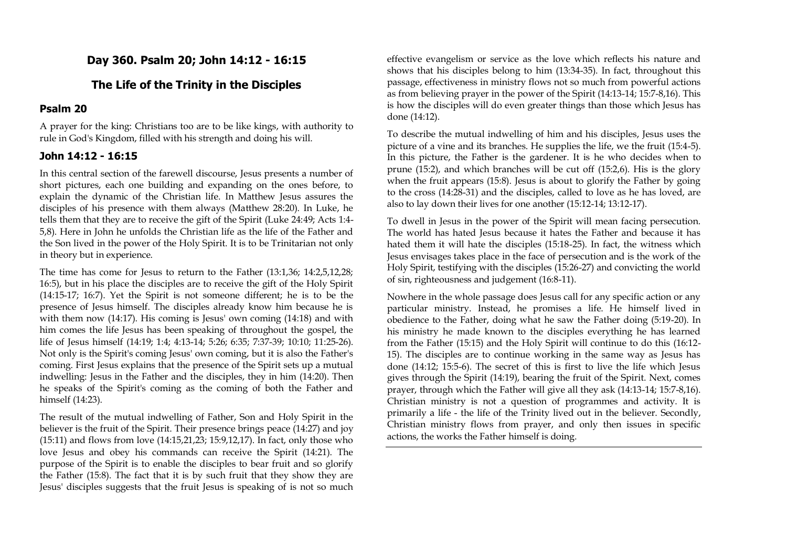# **Day 360. Psalm 20; John 14:12 - 16:15**

# **The Life of the Trinity in the Disciples**

### **Psalm 20**

A prayer for the king: Christians too are to be like kings, with authority to rule in God's Kingdom, filled with his strength and doing his will.

### **John 14:12 - 16:15**

In this central section of the farewell discourse, Jesus presents a number of short pictures, each one building and expanding on the ones before, to explain the dynamic of the Christian life. In Matthew Jesus assures the disciples of his presence with them always (Matthew 28:20). In Luke, he tells them that they are to receive the gift of the Spirit (Luke 24:49; Acts 1:4- 5,8). Here in John he unfolds the Christian life as the life of the Father and the Son lived in the power of the Holy Spirit. It is to be Trinitarian not only in theory but in experience.

The time has come for Jesus to return to the Father (13:1,36; 14:2,5,12,28; 16:5), but in his place the disciples are to receive the gift of the Holy Spirit (14:15-17; 16:7). Yet the Spirit is not someone different; he is to be the presence of Jesus himself. The disciples already know him because he is with them now (14:17). His coming is Jesus' own coming (14:18) and with him comes the life Jesus has been speaking of throughout the gospel, the life of Jesus himself (14:19; 1:4; 4:13-14; 5:26; 6:35; 7:37-39; 10:10; 11:25-26). Not only is the Spirit's coming Jesus' own coming, but it is also the Father's coming. First Jesus explains that the presence of the Spirit sets up a mutual indwelling: Jesus in the Father and the disciples, they in him (14:20). Then he speaks of the Spirit's coming as the coming of both the Father and himself (14:23).

The result of the mutual indwelling of Father, Son and Holy Spirit in the believer is the fruit of the Spirit. Their presence brings peace (14:27) and joy (15:11) and flows from love (14:15,21,23; 15:9,12,17). In fact, only those who love Jesus and obey his commands can receive the Spirit (14:21). The purpose of the Spirit is to enable the disciples to bear fruit and so glorify the Father (15:8). The fact that it is by such fruit that they show they are Jesus' disciples suggests that the fruit Jesus is speaking of is not so much

effective evangelism or service as the love which reflects his nature and shows that his disciples belong to him (13:34-35). In fact, throughout this passage, effectiveness in ministry flows not so much from powerful actions as from believing prayer in the power of the Spirit (14:13-14; 15:7-8,16). This is how the disciples will do even greater things than those which Jesus has done (14:12).

To describe the mutual indwelling of him and his disciples, Jesus uses the picture of a vine and its branches. He supplies the life, we the fruit (15:4-5). In this picture, the Father is the gardener. It is he who decides when to prune (15:2), and which branches will be cut off (15:2,6). His is the glory when the fruit appears (15:8). Jesus is about to glorify the Father by going to the cross (14:28-31) and the disciples, called to love as he has loved, are also to lay down their lives for one another (15:12-14; 13:12-17).

To dwell in Jesus in the power of the Spirit will mean facing persecution. The world has hated Jesus because it hates the Father and because it has hated them it will hate the disciples (15:18-25). In fact, the witness which Jesus envisages takes place in the face of persecution and is the work of the Holy Spirit, testifying with the disciples (15:26-27) and convicting the world of sin, righteousness and judgement (16:8-11).

Nowhere in the whole passage does Jesus call for any specific action or any particular ministry. Instead, he promises a life. He himself lived in obedience to the Father, doing what he saw the Father doing (5:19-20). In his ministry he made known to the disciples everything he has learned from the Father (15:15) and the Holy Spirit will continue to do this (16:12- 15). The disciples are to continue working in the same way as Jesus has done (14:12; 15:5-6). The secret of this is first to live the life which Jesus gives through the Spirit (14:19), bearing the fruit of the Spirit. Next, comes prayer, through which the Father will give all they ask (14:13-14; 15:7-8,16). Christian ministry is not a question of programmes and activity. It is primarily a life - the life of the Trinity lived out in the believer. Secondly, Christian ministry flows from prayer, and only then issues in specific actions, the works the Father himself is doing.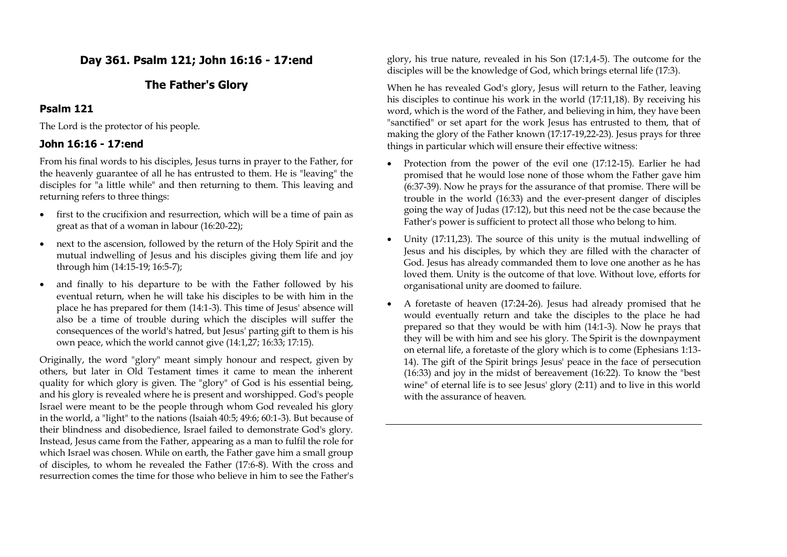# **Day 361. Psalm 121; John 16:16 - 17:end**

# **The Father's Glory**

## **Psalm 121**

The Lord is the protector of his people.

## **John 16:16 - 17:end**

From his final words to his disciples, Jesus turns in prayer to the Father, for the heavenly guarantee of all he has entrusted to them. He is "leaving" the disciples for "a little while" and then returning to them. This leaving and returning refers to three things:

- first to the crucifixion and resurrection, which will be a time of pain as great as that of a woman in labour (16:20-22);
- next to the ascension, followed by the return of the Holy Spirit and the mutual indwelling of Jesus and his disciples giving them life and joy through him (14:15-19; 16:5-7);
- and finally to his departure to be with the Father followed by his eventual return, when he will take his disciples to be with him in the place he has prepared for them (14:1-3). This time of Jesus' absence will also be a time of trouble during which the disciples will suffer the consequences of the world's hatred, but Jesus' parting gift to them is his own peace, which the world cannot give (14:1,27; 16:33; 17:15).

Originally, the word "glory" meant simply honour and respect, given by others, but later in Old Testament times it came to mean the inherent quality for which glory is given. The "glory" of God is his essential being, and his glory is revealed where he is present and worshipped. God's people Israel were meant to be the people through whom God revealed his glory in the world, a "light" to the nations (Isaiah 40:5; 49:6; 60:1-3). But because of their blindness and disobedience, Israel failed to demonstrate God's glory. Instead, Jesus came from the Father, appearing as a man to fulfil the role for which Israel was chosen. While on earth, the Father gave him a small group of disciples, to whom he revealed the Father (17:6-8). With the cross and resurrection comes the time for those who believe in him to see the Father's

glory, his true nature, revealed in his Son (17:1,4-5). The outcome for the disciples will be the knowledge of God, which brings eternal life (17:3).

When he has revealed God's glory, Jesus will return to the Father, leaving his disciples to continue his work in the world (17:11,18). By receiving his word, which is the word of the Father, and believing in him, they have been "sanctified" or set apart for the work Jesus has entrusted to them, that of making the glory of the Father known (17:17-19,22-23). Jesus prays for three things in particular which will ensure their effective witness:

- Protection from the power of the evil one (17:12-15). Earlier he had promised that he would lose none of those whom the Father gave him (6:37-39). Now he prays for the assurance of that promise. There will be trouble in the world (16:33) and the ever-present danger of disciples going the way of Judas (17:12), but this need not be the case because the Father's power is sufficient to protect all those who belong to him.
- Unity (17:11,23). The source of this unity is the mutual indwelling of Jesus and his disciples, by which they are filled with the character of God. Jesus has already commanded them to love one another as he has loved them. Unity is the outcome of that love. Without love, efforts for organisational unity are doomed to failure.
- A foretaste of heaven (17:24-26). Jesus had already promised that he would eventually return and take the disciples to the place he had prepared so that they would be with him (14:1-3). Now he prays that they will be with him and see his glory. The Spirit is the downpayment on eternal life, a foretaste of the glory which is to come (Ephesians 1:13- 14). The gift of the Spirit brings Jesus' peace in the face of persecution (16:33) and joy in the midst of bereavement (16:22). To know the "best wine" of eternal life is to see Jesus' glory (2:11) and to live in this world with the assurance of heaven.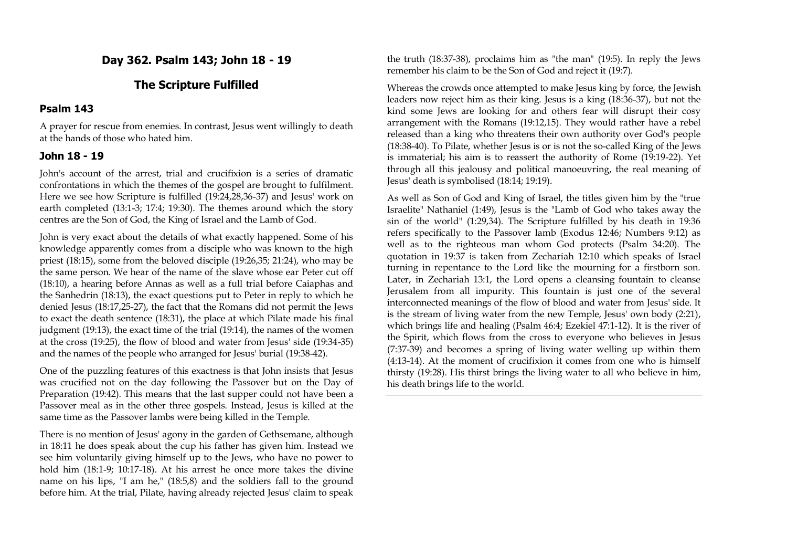# **Day 362. Psalm 143; John 18 - 19**

### **The Scripture Fulfilled**

#### **Psalm 143**

A prayer for rescue from enemies. In contrast, Jesus went willingly to death at the hands of those who hated him.

### **John 18 - 19**

John's account of the arrest, trial and crucifixion is a series of dramatic confrontations in which the themes of the gospel are brought to fulfilment. Here we see how Scripture is fulfilled (19:24,28,36-37) and Jesus' work on earth completed (13:1-3; 17:4; 19:30). The themes around which the story centres are the Son of God, the King of Israel and the Lamb of God.

John is very exact about the details of what exactly happened. Some of his knowledge apparently comes from a disciple who was known to the high priest (18:15), some from the beloved disciple (19:26,35; 21:24), who may be the same person. We hear of the name of the slave whose ear Peter cut off (18:10), a hearing before Annas as well as a full trial before Caiaphas and the Sanhedrin (18:13), the exact questions put to Peter in reply to which he denied Jesus (18:17,25-27), the fact that the Romans did not permit the Jews to exact the death sentence (18:31), the place at which Pilate made his final judgment (19:13), the exact time of the trial (19:14), the names of the women at the cross (19:25), the flow of blood and water from Jesus' side (19:34-35) and the names of the people who arranged for Jesus' burial (19:38-42).

One of the puzzling features of this exactness is that John insists that Jesus was crucified not on the day following the Passover but on the Day of Preparation (19:42). This means that the last supper could not have been a Passover meal as in the other three gospels. Instead, Jesus is killed at the same time as the Passover lambs were being killed in the Temple.

There is no mention of Jesus' agony in the garden of Gethsemane, although in 18:11 he does speak about the cup his father has given him. Instead we see him voluntarily giving himself up to the Jews, who have no power to hold him (18:1-9; 10:17-18). At his arrest he once more takes the divine name on his lips, "I am he," (18:5,8) and the soldiers fall to the ground before him. At the trial, Pilate, having already rejected Jesus' claim to speak

the truth (18:37-38), proclaims him as "the man" (19:5). In reply the Jews remember his claim to be the Son of God and reject it (19:7).

Whereas the crowds once attempted to make Jesus king by force, the Jewish leaders now reject him as their king. Jesus is a king (18:36-37), but not the kind some Jews are looking for and others fear will disrupt their cosy arrangement with the Romans (19:12,15). They would rather have a rebel released than a king who threatens their own authority over God's people (18:38-40). To Pilate, whether Jesus is or is not the so-called King of the Jews is immaterial; his aim is to reassert the authority of Rome (19:19-22). Yet through all this jealousy and political manoeuvring, the real meaning of Jesus' death is symbolised (18:14; 19:19).

As well as Son of God and King of Israel, the titles given him by the "true Israelite" Nathaniel (1:49), Jesus is the "Lamb of God who takes away the sin of the world" (1:29,34). The Scripture fulfilled by his death in 19:36 refers specifically to the Passover lamb (Exodus 12:46; Numbers 9:12) as well as to the righteous man whom God protects (Psalm 34:20). The quotation in 19:37 is taken from Zechariah 12:10 which speaks of Israel turning in repentance to the Lord like the mourning for a firstborn son. Later, in Zechariah 13:1, the Lord opens a cleansing fountain to cleanse Jerusalem from all impurity. This fountain is just one of the several interconnected meanings of the flow of blood and water from Jesus' side. It is the stream of living water from the new Temple, Jesus' own body (2:21), which brings life and healing (Psalm 46:4; Ezekiel 47:1-12). It is the river of the Spirit, which flows from the cross to everyone who believes in Jesus (7:37-39) and becomes a spring of living water welling up within them (4:13-14). At the moment of crucifixion it comes from one who is himself thirsty (19:28). His thirst brings the living water to all who believe in him, his death brings life to the world.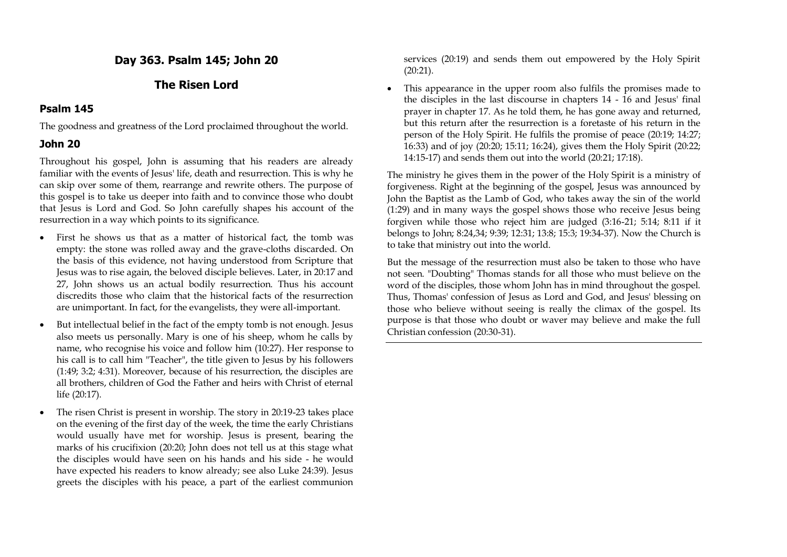# **Day 363. Psalm 145; John 20**

# **The Risen Lord**

# **Psalm 145**

The goodness and greatness of the Lord proclaimed throughout the world.

# **John 20**

Throughout his gospel, John is assuming that his readers are already familiar with the events of Jesus' life, death and resurrection. This is why he can skip over some of them, rearrange and rewrite others. The purpose of this gospel is to take us deeper into faith and to convince those who doubt that Jesus is Lord and God. So John carefully shapes his account of the resurrection in a way which points to its significance.

- First he shows us that as a matter of historical fact, the tomb was empty: the stone was rolled away and the grave-cloths discarded. On the basis of this evidence, not having understood from Scripture that Jesus was to rise again, the beloved disciple believes. Later, in 20:17 and 27, John shows us an actual bodily resurrection. Thus his account discredits those who claim that the historical facts of the resurrection are unimportant. In fact, for the evangelists, they were all-important.
- But intellectual belief in the fact of the empty tomb is not enough. Jesus also meets us personally. Mary is one of his sheep, whom he calls by name, who recognise his voice and follow him (10:27). Her response to his call is to call him "Teacher", the title given to Jesus by his followers (1:49; 3:2; 4:31). Moreover, because of his resurrection, the disciples are all brothers, children of God the Father and heirs with Christ of eternal life (20:17).
- The risen Christ is present in worship. The story in 20:19-23 takes place on the evening of the first day of the week, the time the early Christians would usually have met for worship. Jesus is present, bearing the marks of his crucifixion (20:20; John does not tell us at this stage what the disciples would have seen on his hands and his side - he would have expected his readers to know already; see also Luke 24:39). Jesus greets the disciples with his peace, a part of the earliest communion

services (20:19) and sends them out empowered by the Holy Spirit (20:21).

 This appearance in the upper room also fulfils the promises made to the disciples in the last discourse in chapters 14 - 16 and Jesus' final prayer in chapter 17. As he told them, he has gone away and returned, but this return after the resurrection is a foretaste of his return in the person of the Holy Spirit. He fulfils the promise of peace (20:19; 14:27; 16:33) and of joy (20:20; 15:11; 16:24), gives them the Holy Spirit (20:22; 14:15-17) and sends them out into the world (20:21; 17:18).

The ministry he gives them in the power of the Holy Spirit is a ministry of forgiveness. Right at the beginning of the gospel, Jesus was announced by John the Baptist as the Lamb of God, who takes away the sin of the world (1:29) and in many ways the gospel shows those who receive Jesus being forgiven while those who reject him are judged (3:16-21; 5:14; 8:11 if it belongs to John; 8:24,34; 9:39; 12:31; 13:8; 15:3; 19:34-37). Now the Church is to take that ministry out into the world.

But the message of the resurrection must also be taken to those who have not seen. "Doubting" Thomas stands for all those who must believe on the word of the disciples, those whom John has in mind throughout the gospel. Thus, Thomas' confession of Jesus as Lord and God, and Jesus' blessing on those who believe without seeing is really the climax of the gospel. Its purpose is that those who doubt or waver may believe and make the full Christian confession (20:30-31).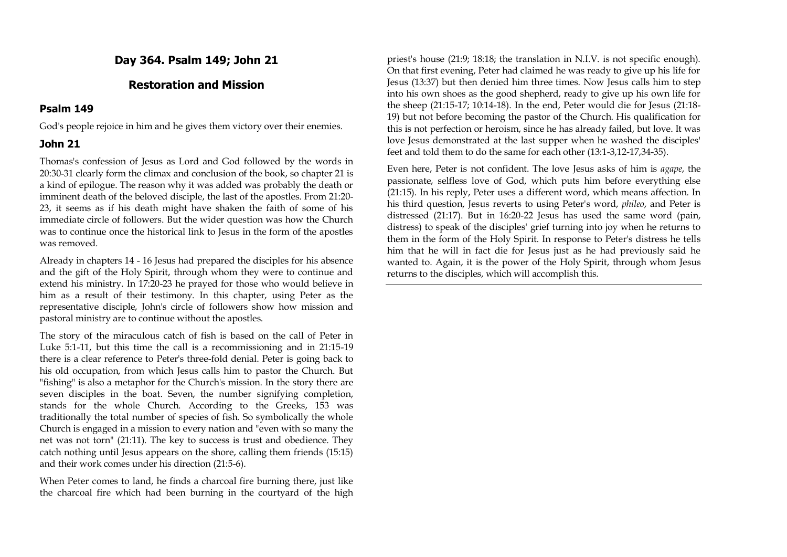# **Day 364. Psalm 149; John 21**

# **Restoration and Mission**

### **Psalm 149**

God's people rejoice in him and he gives them victory over their enemies.

### **John 21**

Thomas's confession of Jesus as Lord and God followed by the words in 20:30-31 clearly form the climax and conclusion of the book, so chapter 21 is a kind of epilogue. The reason why it was added was probably the death or imminent death of the beloved disciple, the last of the apostles. From 21:20- 23, it seems as if his death might have shaken the faith of some of his immediate circle of followers. But the wider question was how the Church was to continue once the historical link to Jesus in the form of the apostles was removed.

Already in chapters 14 - 16 Jesus had prepared the disciples for his absence and the gift of the Holy Spirit, through whom they were to continue and extend his ministry. In 17:20-23 he prayed for those who would believe in him as a result of their testimony. In this chapter, using Peter as the representative disciple, John's circle of followers show how mission and pastoral ministry are to continue without the apostles.

The story of the miraculous catch of fish is based on the call of Peter in Luke 5:1-11, but this time the call is a recommissioning and in 21:15-19 there is a clear reference to Peter's three-fold denial. Peter is going back to his old occupation, from which Jesus calls him to pastor the Church. But "fishing" is also a metaphor for the Church's mission. In the story there are seven disciples in the boat. Seven, the number signifying completion, stands for the whole Church. According to the Greeks, 153 was traditionally the total number of species of fish. So symbolically the whole Church is engaged in a mission to every nation and "even with so many the net was not torn" (21:11). The key to success is trust and obedience. They catch nothing until Jesus appears on the shore, calling them friends (15:15) and their work comes under his direction (21:5-6).

When Peter comes to land, he finds a charcoal fire burning there, just like the charcoal fire which had been burning in the courtyard of the high priest's house (21:9; 18:18; the translation in N.I.V. is not specific enough). On that first evening, Peter had claimed he was ready to give up his life for Jesus (13:37) but then denied him three times. Now Jesus calls him to step into his own shoes as the good shepherd, ready to give up his own life for the sheep (21:15-17; 10:14-18). In the end, Peter would die for Jesus (21:18- 19) but not before becoming the pastor of the Church. His qualification for this is not perfection or heroism, since he has already failed, but love. It was love Jesus demonstrated at the last supper when he washed the disciples' feet and told them to do the same for each other (13:1-3,12-17,34-35).

Even here, Peter is not confident. The love Jesus asks of him is *agape*, the passionate, selfless love of God, which puts him before everything else (21:15). In his reply, Peter uses a different word, which means affection. In his third question, Jesus reverts to using Peter's word, *phileo*, and Peter is distressed (21:17). But in 16:20-22 Jesus has used the same word (pain, distress) to speak of the disciples' grief turning into joy when he returns to them in the form of the Holy Spirit. In response to Peter's distress he tells him that he will in fact die for Jesus just as he had previously said he wanted to. Again, it is the power of the Holy Spirit, through whom Jesus returns to the disciples, which will accomplish this.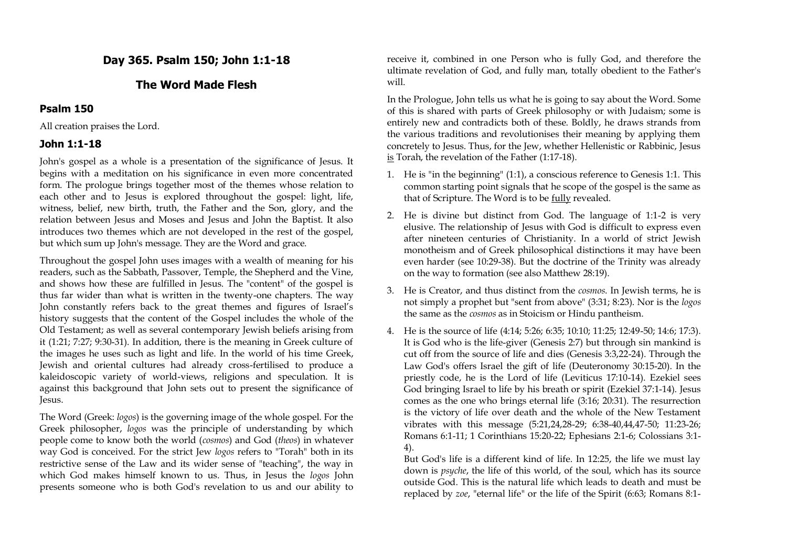# **Day 365. Psalm 150; John 1:1-18**

## **The Word Made Flesh**

#### **Psalm 150**

All creation praises the Lord.

#### **John 1:1-18**

John's gospel as a whole is a presentation of the significance of Jesus. It begins with a meditation on his significance in even more concentrated form. The prologue brings together most of the themes whose relation to each other and to Jesus is explored throughout the gospel: light, life, witness, belief, new birth, truth, the Father and the Son, glory, and the relation between Jesus and Moses and Jesus and John the Baptist. It also introduces two themes which are not developed in the rest of the gospel, but which sum up John's message. They are the Word and grace.

Throughout the gospel John uses images with a wealth of meaning for his readers, such as the Sabbath, Passover, Temple, the Shepherd and the Vine, and shows how these are fulfilled in Jesus. The "content" of the gospel is thus far wider than what is written in the twenty-one chapters. The way John constantly refers back to the great themes and figures of Israel's history suggests that the content of the Gospel includes the whole of the Old Testament; as well as several contemporary Jewish beliefs arising from it (1:21; 7:27; 9:30-31). In addition, there is the meaning in Greek culture of the images he uses such as light and life. In the world of his time Greek, Jewish and oriental cultures had already cross-fertilised to produce a kaleidoscopic variety of world-views, religions and speculation. It is against this background that John sets out to present the significance of Jesus.

The Word (Greek: *logos*) is the governing image of the whole gospel. For the Greek philosopher, *logos* was the principle of understanding by which people come to know both the world (*cosmos*) and God (*theos*) in whatever way God is conceived. For the strict Jew *logos* refers to "Torah" both in its restrictive sense of the Law and its wider sense of "teaching", the way in which God makes himself known to us. Thus, in Jesus the *logos* John presents someone who is both God's revelation to us and our ability to receive it, combined in one Person who is fully God, and therefore the ultimate revelation of God, and fully man, totally obedient to the Father's will.

In the Prologue, John tells us what he is going to say about the Word. Some of this is shared with parts of Greek philosophy or with Judaism; some is entirely new and contradicts both of these. Boldly, he draws strands from the various traditions and revolutionises their meaning by applying them concretely to Jesus. Thus, for the Jew, whether Hellenistic or Rabbinic, Jesus is Torah, the revelation of the Father (1:17-18).

- 1. He is "in the beginning" (1:1), a conscious reference to Genesis 1:1. This common starting point signals that he scope of the gospel is the same as that of Scripture. The Word is to be fully revealed.
- 2. He is divine but distinct from God. The language of 1:1-2 is very elusive. The relationship of Jesus with God is difficult to express even after nineteen centuries of Christianity. In a world of strict Jewish monotheism and of Greek philosophical distinctions it may have been even harder (see 10:29-38). But the doctrine of the Trinity was already on the way to formation (see also Matthew 28:19).
- 3. He is Creator, and thus distinct from the *cosmos*. In Jewish terms, he is not simply a prophet but "sent from above" (3:31; 8:23). Nor is the *logos* the same as the *cosmos* as in Stoicism or Hindu pantheism.
- 4. He is the source of life (4:14; 5:26; 6:35; 10:10; 11:25; 12:49-50; 14:6; 17:3). It is God who is the life-giver (Genesis 2:7) but through sin mankind is cut off from the source of life and dies (Genesis 3:3,22-24). Through the Law God's offers Israel the gift of life (Deuteronomy 30:15-20). In the priestly code, he is the Lord of life (Leviticus 17:10-14). Ezekiel sees God bringing Israel to life by his breath or spirit (Ezekiel 37:1-14). Jesus comes as the one who brings eternal life (3:16; 20:31). The resurrection is the victory of life over death and the whole of the New Testament vibrates with this message (5:21,24,28-29; 6:38-40,44,47-50; 11:23-26; Romans 6:1-11; 1 Corinthians 15:20-22; Ephesians 2:1-6; Colossians 3:1- 4).

But God's life is a different kind of life. In 12:25, the life we must lay down is *psyche*, the life of this world, of the soul, which has its source outside God. This is the natural life which leads to death and must be replaced by *zoe*, "eternal life" or the life of the Spirit (6:63; Romans 8:1